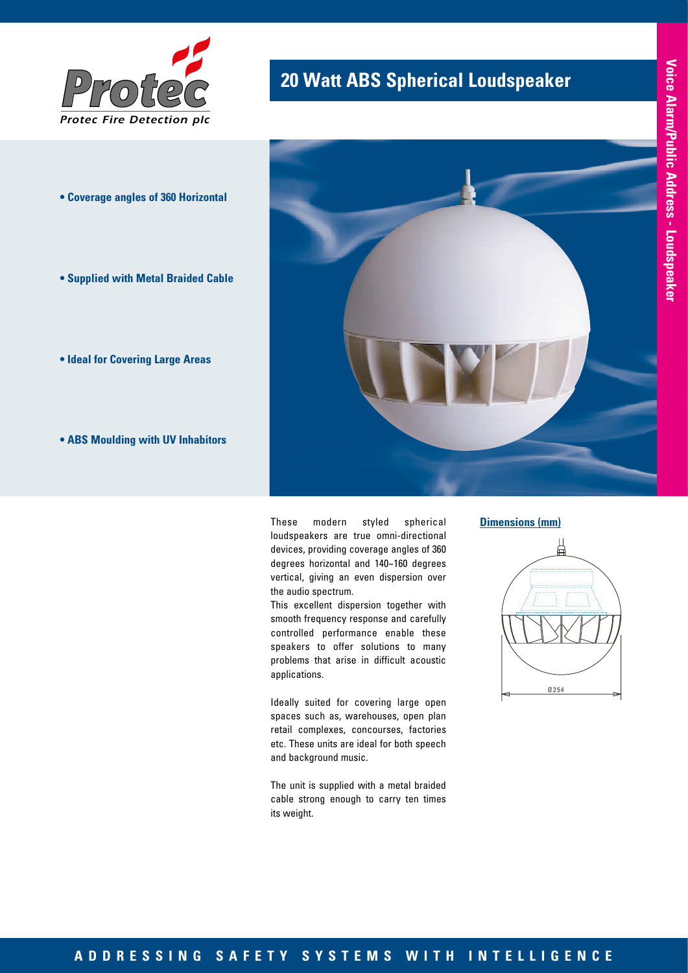

- **Coverage angles of 360 Horizontal**
- **Supplied with Metal Braided Cable**
- **Ideal for Covering Large Areas**
- **ABS Moulding with UV Inhabitors**

## **20 Watt ABS Spherical Loudspeaker**



These modern styled spherical loudspeakers are true omni-directional devices, providing coverage angles of 360 degrees horizontal and 140~160 degrees vertical, giving an even dispersion over the audio spectrum.

This excellent dispersion together with smooth frequency response and carefully controlled performance enable these speakers to offer solutions to many problems that arise in difficult acoustic applications.

Ideally suited for covering large open spaces such as, warehouses, open plan retail complexes, concourses, factories etc. These units are ideal for both speech and background music.

The unit is supplied with a metal braided cable strong enough to carry ten times its weight.

#### **Dimensions (mm)**